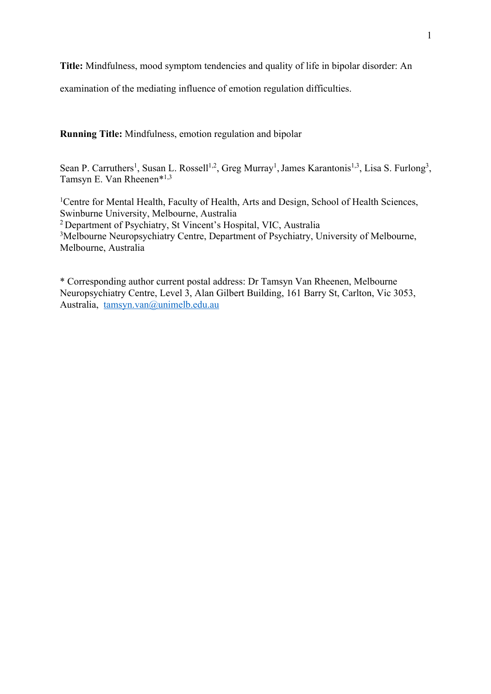**Title:** Mindfulness, mood symptom tendencies and quality of life in bipolar disorder: An

examination of the mediating influence of emotion regulation difficulties.

**Running Title:** Mindfulness, emotion regulation and bipolar

Sean P. Carruthers<sup>1</sup>, Susan L. Rossell<sup>1,2</sup>, Greg Murray<sup>1</sup>, James Karantonis<sup>1,3</sup>, Lisa S. Furlong<sup>3</sup>, Tamsyn E. Van Rheenen\*1,3

<sup>1</sup>Centre for Mental Health, Faculty of Health, Arts and Design, School of Health Sciences, Swinburne University, Melbourne, Australia <sup>2</sup> Department of Psychiatry, St Vincent's Hospital, VIC, Australia <sup>3</sup>Melbourne Neuropsychiatry Centre, Department of Psychiatry, University of Melbourne, Melbourne, Australia

\* Corresponding author current postal address: Dr Tamsyn Van Rheenen, Melbourne Neuropsychiatry Centre, Level 3, Alan Gilbert Building, 161 Barry St, Carlton, Vic 3053, Australia, tamsyn.van@unimelb.edu.au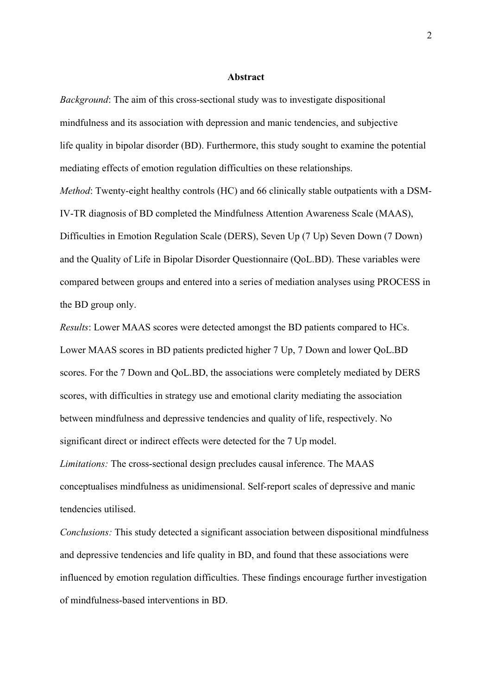## **Abstract**

*Background*: The aim of this cross-sectional study was to investigate dispositional mindfulness and its association with depression and manic tendencies, and subjective life quality in bipolar disorder (BD). Furthermore, this study sought to examine the potential mediating effects of emotion regulation difficulties on these relationships. *Method*: Twenty-eight healthy controls (HC) and 66 clinically stable outpatients with a DSM-IV-TR diagnosis of BD completed the Mindfulness Attention Awareness Scale (MAAS), Difficulties in Emotion Regulation Scale (DERS), Seven Up (7 Up) Seven Down (7 Down) and the Quality of Life in Bipolar Disorder Questionnaire (QoL.BD). These variables were compared between groups and entered into a series of mediation analyses using PROCESS in the BD group only.

*Results*: Lower MAAS scores were detected amongst the BD patients compared to HCs. Lower MAAS scores in BD patients predicted higher 7 Up, 7 Down and lower QoL.BD scores. For the 7 Down and QoL.BD, the associations were completely mediated by DERS scores, with difficulties in strategy use and emotional clarity mediating the association between mindfulness and depressive tendencies and quality of life, respectively. No significant direct or indirect effects were detected for the 7 Up model.

*Limitations:* The cross-sectional design precludes causal inference. The MAAS conceptualises mindfulness as unidimensional. Self-report scales of depressive and manic tendencies utilised.

*Conclusions:* This study detected a significant association between dispositional mindfulness and depressive tendencies and life quality in BD, and found that these associations were influenced by emotion regulation difficulties. These findings encourage further investigation of mindfulness-based interventions in BD.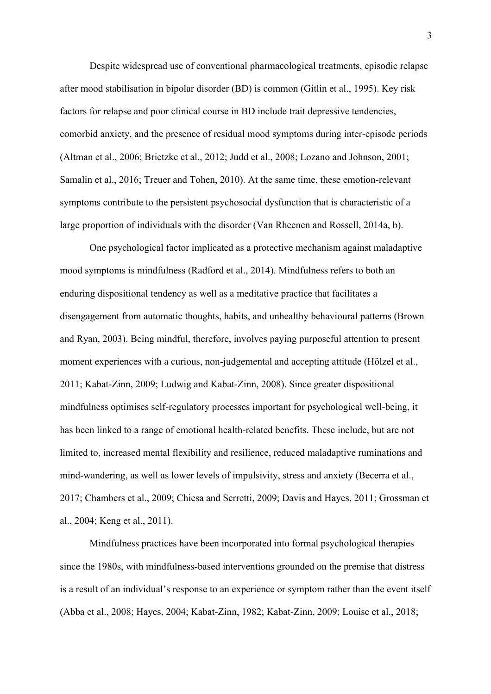Despite widespread use of conventional pharmacological treatments, episodic relapse after mood stabilisation in bipolar disorder (BD) is common (Gitlin et al., 1995). Key risk factors for relapse and poor clinical course in BD include trait depressive tendencies, comorbid anxiety, and the presence of residual mood symptoms during inter-episode periods (Altman et al., 2006; Brietzke et al., 2012; Judd et al., 2008; Lozano and Johnson, 2001; Samalin et al., 2016; Treuer and Tohen, 2010). At the same time, these emotion-relevant symptoms contribute to the persistent psychosocial dysfunction that is characteristic of a large proportion of individuals with the disorder (Van Rheenen and Rossell, 2014a, b).

One psychological factor implicated as a protective mechanism against maladaptive mood symptoms is mindfulness (Radford et al., 2014). Mindfulness refers to both an enduring dispositional tendency as well as a meditative practice that facilitates a disengagement from automatic thoughts, habits, and unhealthy behavioural patterns (Brown and Ryan, 2003). Being mindful, therefore, involves paying purposeful attention to present moment experiences with a curious, non-judgemental and accepting attitude (Hölzel et al., 2011; Kabat-Zinn, 2009; Ludwig and Kabat-Zinn, 2008). Since greater dispositional mindfulness optimises self-regulatory processes important for psychological well-being, it has been linked to a range of emotional health-related benefits. These include, but are not limited to, increased mental flexibility and resilience, reduced maladaptive ruminations and mind-wandering, as well as lower levels of impulsivity, stress and anxiety (Becerra et al., 2017; Chambers et al., 2009; Chiesa and Serretti, 2009; Davis and Hayes, 2011; Grossman et al., 2004; Keng et al., 2011).

Mindfulness practices have been incorporated into formal psychological therapies since the 1980s, with mindfulness-based interventions grounded on the premise that distress is a result of an individual's response to an experience or symptom rather than the event itself (Abba et al., 2008; Hayes, 2004; Kabat-Zinn, 1982; Kabat-Zinn, 2009; Louise et al., 2018;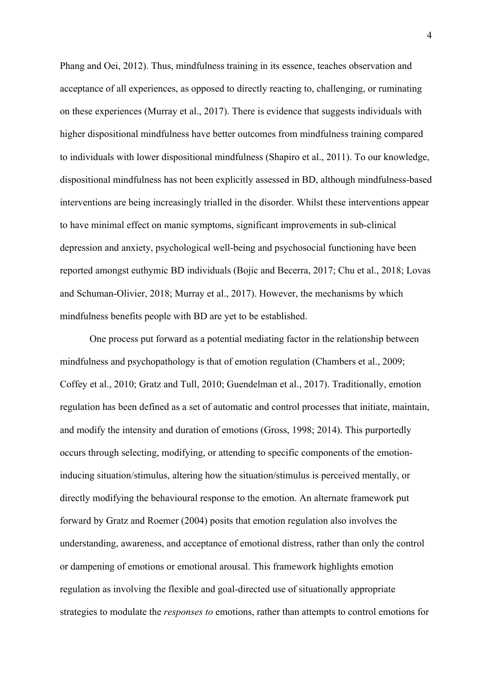Phang and Oei, 2012). Thus, mindfulness training in its essence, teaches observation and acceptance of all experiences, as opposed to directly reacting to, challenging, or ruminating on these experiences (Murray et al., 2017). There is evidence that suggests individuals with higher dispositional mindfulness have better outcomes from mindfulness training compared to individuals with lower dispositional mindfulness (Shapiro et al., 2011). To our knowledge, dispositional mindfulness has not been explicitly assessed in BD, although mindfulness-based interventions are being increasingly trialled in the disorder. Whilst these interventions appear to have minimal effect on manic symptoms, significant improvements in sub-clinical depression and anxiety, psychological well-being and psychosocial functioning have been reported amongst euthymic BD individuals (Bojic and Becerra, 2017; Chu et al., 2018; Lovas and Schuman-Olivier, 2018; Murray et al., 2017). However, the mechanisms by which mindfulness benefits people with BD are yet to be established.

One process put forward as a potential mediating factor in the relationship between mindfulness and psychopathology is that of emotion regulation (Chambers et al., 2009; Coffey et al., 2010; Gratz and Tull, 2010; Guendelman et al., 2017). Traditionally, emotion regulation has been defined as a set of automatic and control processes that initiate, maintain, and modify the intensity and duration of emotions (Gross, 1998; 2014). This purportedly occurs through selecting, modifying, or attending to specific components of the emotioninducing situation/stimulus, altering how the situation/stimulus is perceived mentally, or directly modifying the behavioural response to the emotion. An alternate framework put forward by Gratz and Roemer (2004) posits that emotion regulation also involves the understanding, awareness, and acceptance of emotional distress, rather than only the control or dampening of emotions or emotional arousal. This framework highlights emotion regulation as involving the flexible and goal-directed use of situationally appropriate strategies to modulate the *responses to* emotions, rather than attempts to control emotions for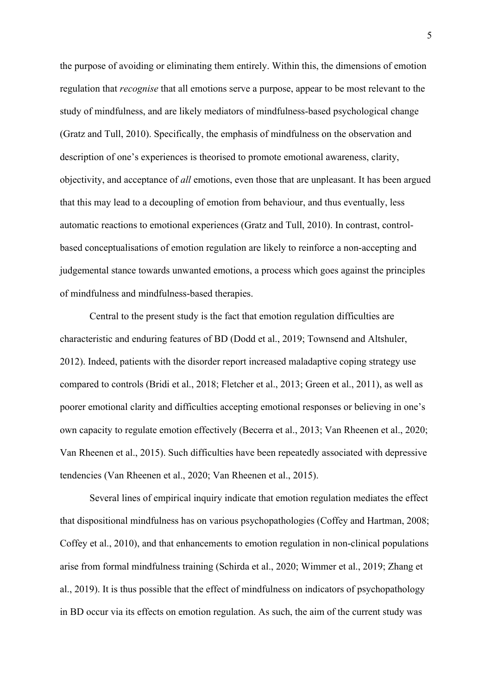the purpose of avoiding or eliminating them entirely. Within this, the dimensions of emotion regulation that *recognise* that all emotions serve a purpose, appear to be most relevant to the study of mindfulness, and are likely mediators of mindfulness-based psychological change (Gratz and Tull, 2010). Specifically, the emphasis of mindfulness on the observation and description of one's experiences is theorised to promote emotional awareness, clarity, objectivity, and acceptance of *all* emotions, even those that are unpleasant. It has been argued that this may lead to a decoupling of emotion from behaviour, and thus eventually, less automatic reactions to emotional experiences (Gratz and Tull, 2010). In contrast, controlbased conceptualisations of emotion regulation are likely to reinforce a non-accepting and judgemental stance towards unwanted emotions, a process which goes against the principles of mindfulness and mindfulness-based therapies.

Central to the present study is the fact that emotion regulation difficulties are characteristic and enduring features of BD (Dodd et al., 2019; Townsend and Altshuler, 2012). Indeed, patients with the disorder report increased maladaptive coping strategy use compared to controls (Bridi et al., 2018; Fletcher et al., 2013; Green et al., 2011), as well as poorer emotional clarity and difficulties accepting emotional responses or believing in one's own capacity to regulate emotion effectively (Becerra et al., 2013; Van Rheenen et al., 2020; Van Rheenen et al., 2015). Such difficulties have been repeatedly associated with depressive tendencies (Van Rheenen et al., 2020; Van Rheenen et al., 2015).

Several lines of empirical inquiry indicate that emotion regulation mediates the effect that dispositional mindfulness has on various psychopathologies (Coffey and Hartman, 2008; Coffey et al., 2010), and that enhancements to emotion regulation in non-clinical populations arise from formal mindfulness training (Schirda et al., 2020; Wimmer et al., 2019; Zhang et al., 2019). It is thus possible that the effect of mindfulness on indicators of psychopathology in BD occur via its effects on emotion regulation. As such, the aim of the current study was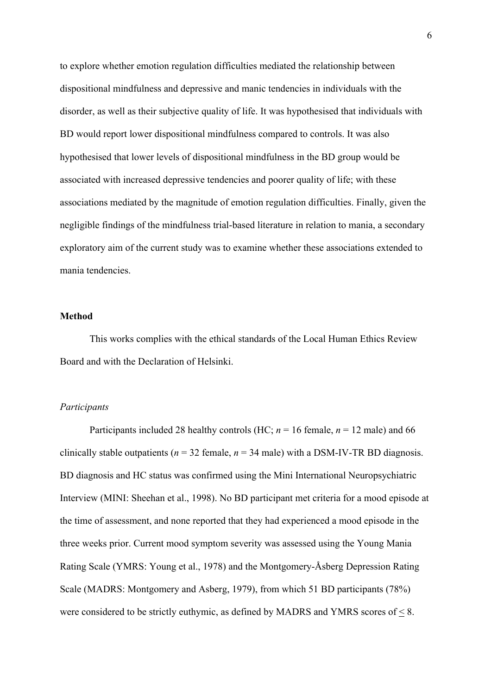to explore whether emotion regulation difficulties mediated the relationship between dispositional mindfulness and depressive and manic tendencies in individuals with the disorder, as well as their subjective quality of life. It was hypothesised that individuals with BD would report lower dispositional mindfulness compared to controls. It was also hypothesised that lower levels of dispositional mindfulness in the BD group would be associated with increased depressive tendencies and poorer quality of life; with these associations mediated by the magnitude of emotion regulation difficulties. Finally, given the negligible findings of the mindfulness trial-based literature in relation to mania, a secondary exploratory aim of the current study was to examine whether these associations extended to mania tendencies.

## **Method**

This works complies with the ethical standards of the Local Human Ethics Review Board and with the Declaration of Helsinki.

# *Participants*

Participants included 28 healthy controls (HC;  $n = 16$  female,  $n = 12$  male) and 66 clinically stable outpatients ( $n = 32$  female,  $n = 34$  male) with a DSM-IV-TR BD diagnosis. BD diagnosis and HC status was confirmed using the Mini International Neuropsychiatric Interview (MINI: Sheehan et al., 1998). No BD participant met criteria for a mood episode at the time of assessment, and none reported that they had experienced a mood episode in the three weeks prior. Current mood symptom severity was assessed using the Young Mania Rating Scale (YMRS: Young et al., 1978) and the Montgomery-Åsberg Depression Rating Scale (MADRS: Montgomery and Asberg, 1979), from which 51 BD participants (78%) were considered to be strictly euthymic, as defined by MADRS and YMRS scores of  $\leq 8$ .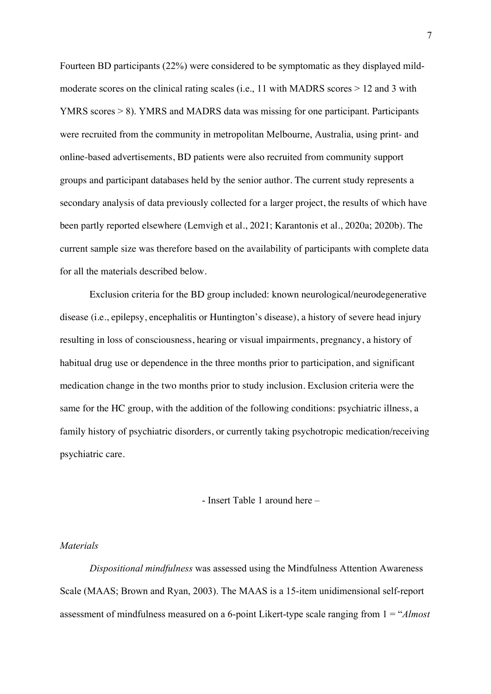Fourteen BD participants (22%) were considered to be symptomatic as they displayed mildmoderate scores on the clinical rating scales (i.e., 11 with MADRS scores > 12 and 3 with YMRS scores > 8). YMRS and MADRS data was missing for one participant. Participants were recruited from the community in metropolitan Melbourne, Australia, using print- and online-based advertisements, BD patients were also recruited from community support groups and participant databases held by the senior author. The current study represents a secondary analysis of data previously collected for a larger project, the results of which have been partly reported elsewhere (Lemvigh et al., 2021; Karantonis et al., 2020a; 2020b). The current sample size was therefore based on the availability of participants with complete data for all the materials described below.

Exclusion criteria for the BD group included: known neurological/neurodegenerative disease (i.e., epilepsy, encephalitis or Huntington's disease), a history of severe head injury resulting in loss of consciousness, hearing or visual impairments, pregnancy, a history of habitual drug use or dependence in the three months prior to participation, and significant medication change in the two months prior to study inclusion. Exclusion criteria were the same for the HC group, with the addition of the following conditions: psychiatric illness, a family history of psychiatric disorders, or currently taking psychotropic medication/receiving psychiatric care.

# - Insert Table 1 around here –

#### *Materials*

*Dispositional mindfulness* was assessed using the Mindfulness Attention Awareness Scale (MAAS; Brown and Ryan, 2003). The MAAS is a 15-item unidimensional self-report assessment of mindfulness measured on a 6-point Likert-type scale ranging from 1 = "*Almost*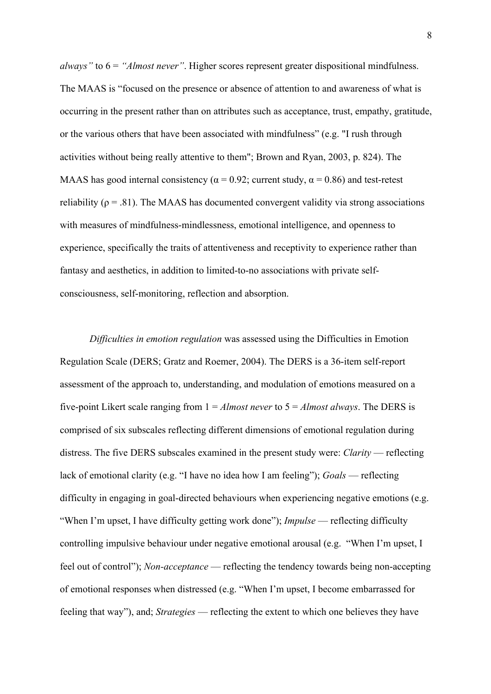*always"* to 6 = *"Almost never"*. Higher scores represent greater dispositional mindfulness. The MAAS is "focused on the presence or absence of attention to and awareness of what is occurring in the present rather than on attributes such as acceptance, trust, empathy, gratitude, or the various others that have been associated with mindfulness" (e.g. "I rush through activities without being really attentive to them"; Brown and Ryan, 2003, p. 824). The MAAS has good internal consistency ( $\alpha$  = 0.92; current study,  $\alpha$  = 0.86) and test-retest reliability ( $\rho = .81$ ). The MAAS has documented convergent validity via strong associations with measures of mindfulness-mindlessness, emotional intelligence, and openness to experience, specifically the traits of attentiveness and receptivity to experience rather than fantasy and aesthetics, in addition to limited-to-no associations with private selfconsciousness, self-monitoring, reflection and absorption.

*Difficulties in emotion regulation* was assessed using the Difficulties in Emotion Regulation Scale (DERS; Gratz and Roemer, 2004). The DERS is a 36-item self-report assessment of the approach to, understanding, and modulation of emotions measured on a five-point Likert scale ranging from 1 = *Almost never* to 5 = *Almost always*. The DERS is comprised of six subscales reflecting different dimensions of emotional regulation during distress. The five DERS subscales examined in the present study were: *Clarity* — reflecting lack of emotional clarity (e.g. "I have no idea how I am feeling"); *Goals* — reflecting difficulty in engaging in goal-directed behaviours when experiencing negative emotions (e.g. "When I'm upset, I have difficulty getting work done"); *Impulse* — reflecting difficulty controlling impulsive behaviour under negative emotional arousal (e.g. "When I'm upset, I feel out of control"); *Non-acceptance* — reflecting the tendency towards being non-accepting of emotional responses when distressed (e.g. "When I'm upset, I become embarrassed for feeling that way"), and; *Strategies* — reflecting the extent to which one believes they have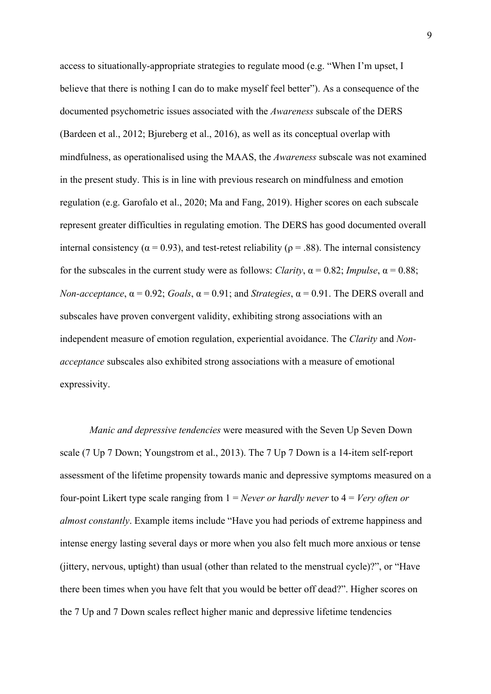access to situationally-appropriate strategies to regulate mood (e.g. "When I'm upset, I believe that there is nothing I can do to make myself feel better"). As a consequence of the documented psychometric issues associated with the *Awareness* subscale of the DERS (Bardeen et al., 2012; Bjureberg et al., 2016), as well as its conceptual overlap with mindfulness, as operationalised using the MAAS, the *Awareness* subscale was not examined in the present study. This is in line with previous research on mindfulness and emotion regulation (e.g. Garofalo et al., 2020; Ma and Fang, 2019). Higher scores on each subscale represent greater difficulties in regulating emotion. The DERS has good documented overall internal consistency ( $\alpha$  = 0.93), and test-retest reliability ( $\rho$  = .88). The internal consistency for the subscales in the current study were as follows: *Clarity*,  $\alpha = 0.82$ ; *Impulse*,  $\alpha = 0.88$ ; *Non-acceptance*,  $\alpha = 0.92$ ; *Goals*,  $\alpha = 0.91$ ; and *Strategies*,  $\alpha = 0.91$ . The DERS overall and subscales have proven convergent validity, exhibiting strong associations with an independent measure of emotion regulation, experiential avoidance. The *Clarity* and *Nonacceptance* subscales also exhibited strong associations with a measure of emotional expressivity.

*Manic and depressive tendencies* were measured with the Seven Up Seven Down scale (7 Up 7 Down; Youngstrom et al., 2013). The 7 Up 7 Down is a 14-item self-report assessment of the lifetime propensity towards manic and depressive symptoms measured on a four-point Likert type scale ranging from 1 = *Never or hardly never* to 4 = *Very often or almost constantly*. Example items include "Have you had periods of extreme happiness and intense energy lasting several days or more when you also felt much more anxious or tense (jittery, nervous, uptight) than usual (other than related to the menstrual cycle)?", or "Have there been times when you have felt that you would be better off dead?". Higher scores on the 7 Up and 7 Down scales reflect higher manic and depressive lifetime tendencies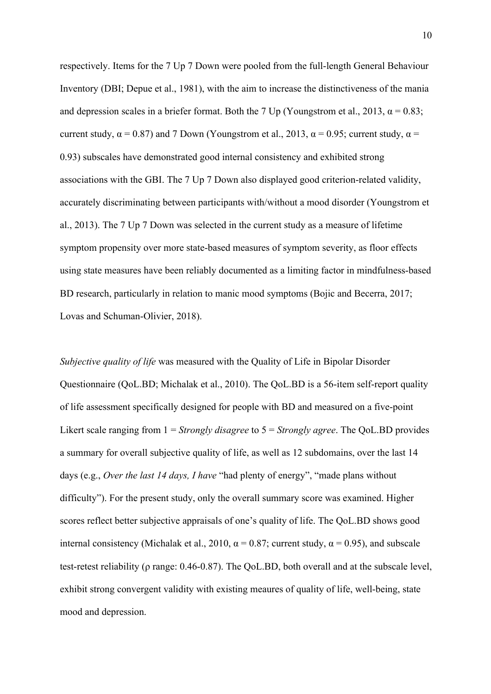respectively. Items for the 7 Up 7 Down were pooled from the full-length General Behaviour Inventory (DBI; Depue et al., 1981), with the aim to increase the distinctiveness of the mania and depression scales in a briefer format. Both the 7 Up (Youngstrom et al., 2013,  $\alpha = 0.83$ ; current study,  $\alpha$  = 0.87) and 7 Down (Youngstrom et al., 2013,  $\alpha$  = 0.95; current study,  $\alpha$  = 0.93) subscales have demonstrated good internal consistency and exhibited strong associations with the GBI. The 7 Up 7 Down also displayed good criterion-related validity, accurately discriminating between participants with/without a mood disorder (Youngstrom et al., 2013). The 7 Up 7 Down was selected in the current study as a measure of lifetime symptom propensity over more state-based measures of symptom severity, as floor effects using state measures have been reliably documented as a limiting factor in mindfulness-based BD research, particularly in relation to manic mood symptoms (Bojic and Becerra, 2017; Lovas and Schuman-Olivier, 2018).

*Subjective quality of life* was measured with the Quality of Life in Bipolar Disorder Questionnaire (QoL.BD; Michalak et al., 2010). The QoL.BD is a 56-item self-report quality of life assessment specifically designed for people with BD and measured on a five-point Likert scale ranging from 1 = *Strongly disagree* to 5 = *Strongly agree*. The QoL.BD provides a summary for overall subjective quality of life, as well as 12 subdomains, over the last 14 days (e.g., *Over the last 14 days, I have* "had plenty of energy", "made plans without difficulty"). For the present study, only the overall summary score was examined. Higher scores reflect better subjective appraisals of one's quality of life. The QoL.BD shows good internal consistency (Michalak et al., 2010,  $\alpha = 0.87$ ; current study,  $\alpha = 0.95$ ), and subscale test-retest reliability (ρ range: 0.46-0.87). The QoL.BD, both overall and at the subscale level, exhibit strong convergent validity with existing meaures of quality of life, well-being, state mood and depression.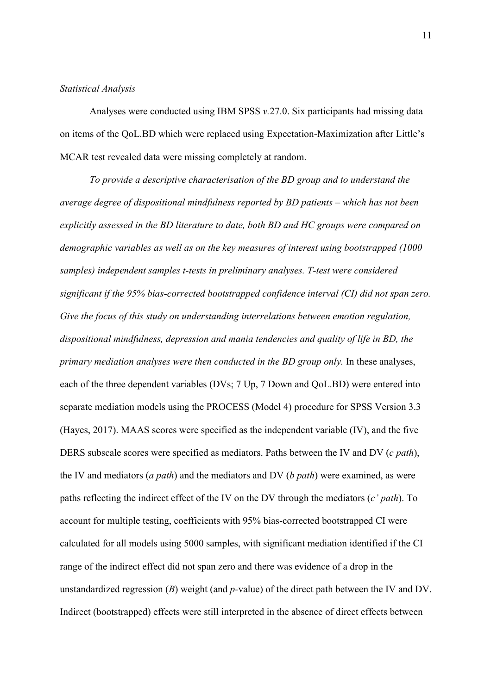## *Statistical Analysis*

Analyses were conducted using IBM SPSS *v.*27.0. Six participants had missing data on items of the QoL.BD which were replaced using Expectation-Maximization after Little's MCAR test revealed data were missing completely at random.

*To provide a descriptive characterisation of the BD group and to understand the average degree of dispositional mindfulness reported by BD patients – which has not been explicitly assessed in the BD literature to date, both BD and HC groups were compared on demographic variables as well as on the key measures of interest using bootstrapped (1000 samples) independent samples t-tests in preliminary analyses. T-test were considered significant if the 95% bias-corrected bootstrapped confidence interval (CI) did not span zero. Give the focus of this study on understanding interrelations between emotion regulation, dispositional mindfulness, depression and mania tendencies and quality of life in BD, the primary mediation analyses were then conducted in the BD group only.* In these analyses, each of the three dependent variables (DVs; 7 Up, 7 Down and QoL.BD) were entered into separate mediation models using the PROCESS (Model 4) procedure for SPSS Version 3.3 (Hayes, 2017). MAAS scores were specified as the independent variable (IV), and the five DERS subscale scores were specified as mediators. Paths between the IV and DV (*c path*), the IV and mediators (*a path*) and the mediators and DV (*b path*) were examined, as were paths reflecting the indirect effect of the IV on the DV through the mediators (*c' path*). To account for multiple testing, coefficients with 95% bias-corrected bootstrapped CI were calculated for all models using 5000 samples, with significant mediation identified if the CI range of the indirect effect did not span zero and there was evidence of a drop in the unstandardized regression (*B*) weight (and *p-*value) of the direct path between the IV and DV. Indirect (bootstrapped) effects were still interpreted in the absence of direct effects between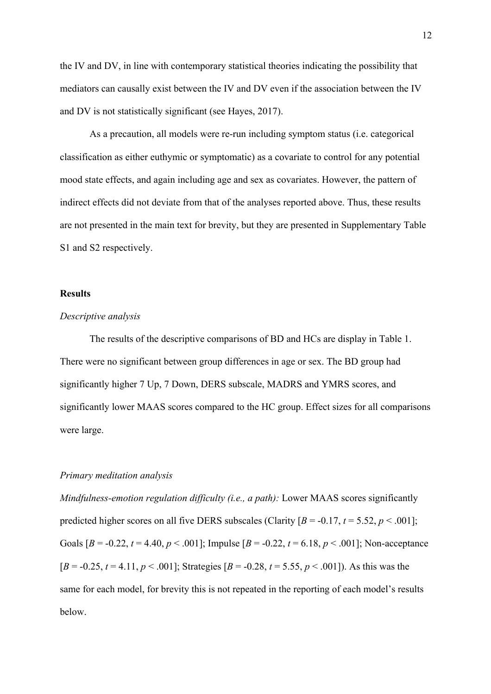the IV and DV, in line with contemporary statistical theories indicating the possibility that mediators can causally exist between the IV and DV even if the association between the IV and DV is not statistically significant (see Hayes, 2017).

As a precaution, all models were re-run including symptom status (i.e. categorical classification as either euthymic or symptomatic) as a covariate to control for any potential mood state effects, and again including age and sex as covariates. However, the pattern of indirect effects did not deviate from that of the analyses reported above. Thus, these results are not presented in the main text for brevity, but they are presented in Supplementary Table S1 and S2 respectively.

### **Results**

# *Descriptive analysis*

The results of the descriptive comparisons of BD and HCs are display in Table 1. There were no significant between group differences in age or sex. The BD group had significantly higher 7 Up, 7 Down, DERS subscale, MADRS and YMRS scores, and significantly lower MAAS scores compared to the HC group. Effect sizes for all comparisons were large.

### *Primary meditation analysis*

*Mindfulness-emotion regulation difficulty (i.e., a path):* Lower MAAS scores significantly predicted higher scores on all five DERS subscales (Clarity  $[B = -0.17, t = 5.52, p < .001]$ ; Goals  $[B = -0.22, t = 4.40, p < .001]$ ; Impulse  $[B = -0.22, t = 6.18, p < .001]$ ; Non-acceptance  $[B = -0.25, t = 4.11, p < .001]$ ; Strategies  $[B = -0.28, t = 5.55, p < .001]$ ). As this was the same for each model, for brevity this is not repeated in the reporting of each model's results below.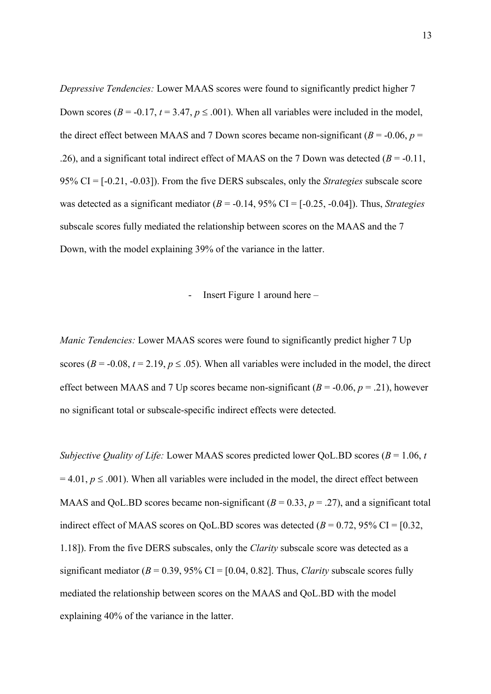*Depressive Tendencies:* Lower MAAS scores were found to significantly predict higher 7 Down scores ( $B = -0.17$ ,  $t = 3.47$ ,  $p \le 0.001$ ). When all variables were included in the model, the direct effect between MAAS and 7 Down scores became non-significant ( $B = -0.06$ ,  $p =$ .26), and a significant total indirect effect of MAAS on the 7 Down was detected  $(B = -0.11$ , 95% CI = [-0.21, -0.03]). From the five DERS subscales, only the *Strategies* subscale score was detected as a significant mediator (*B* = -0.14, 95% CI = [-0.25, -0.04]). Thus, *Strategies* subscale scores fully mediated the relationship between scores on the MAAS and the 7 Down, with the model explaining 39% of the variance in the latter.

## - Insert Figure 1 around here –

*Manic Tendencies:* Lower MAAS scores were found to significantly predict higher 7 Up scores ( $B = -0.08$ ,  $t = 2.19$ ,  $p \le .05$ ). When all variables were included in the model, the direct effect between MAAS and 7 Up scores became non-significant  $(B = -0.06, p = .21)$ , however no significant total or subscale-specific indirect effects were detected.

*Subjective Quality of Life:* Lower MAAS scores predicted lower QoL.BD scores (*B* = 1.06, *t*   $= 4.01, p \leq .001$ ). When all variables were included in the model, the direct effect between MAAS and OoL.BD scores became non-significant  $(B = 0.33, p = .27)$ , and a significant total indirect effect of MAAS scores on QoL.BD scores was detected  $(B = 0.72, 95\% \text{ CI} = [0.32,$ 1.18]). From the five DERS subscales, only the *Clarity* subscale score was detected as a significant mediator  $(B = 0.39, 95\% \text{ CI} = [0.04, 0.82]$ . Thus, *Clarity* subscale scores fully mediated the relationship between scores on the MAAS and QoL.BD with the model explaining 40% of the variance in the latter.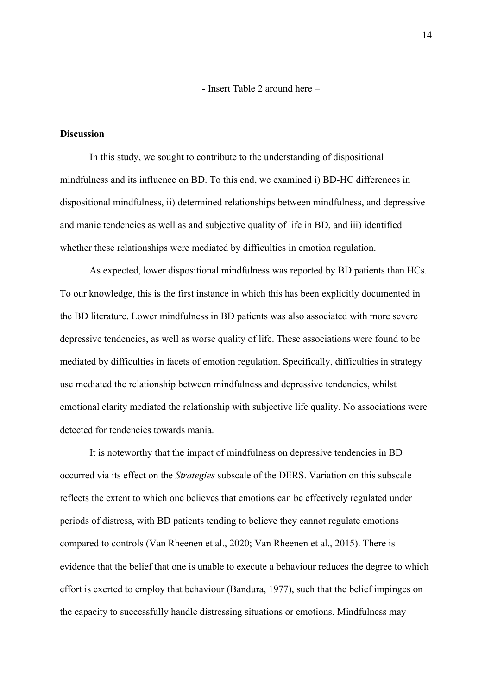- Insert Table 2 around here –

# **Discussion**

In this study, we sought to contribute to the understanding of dispositional mindfulness and its influence on BD. To this end, we examined i) BD-HC differences in dispositional mindfulness, ii) determined relationships between mindfulness, and depressive and manic tendencies as well as and subjective quality of life in BD, and iii) identified whether these relationships were mediated by difficulties in emotion regulation.

As expected, lower dispositional mindfulness was reported by BD patients than HCs. To our knowledge, this is the first instance in which this has been explicitly documented in the BD literature. Lower mindfulness in BD patients was also associated with more severe depressive tendencies, as well as worse quality of life. These associations were found to be mediated by difficulties in facets of emotion regulation. Specifically, difficulties in strategy use mediated the relationship between mindfulness and depressive tendencies, whilst emotional clarity mediated the relationship with subjective life quality. No associations were detected for tendencies towards mania.

It is noteworthy that the impact of mindfulness on depressive tendencies in BD occurred via its effect on the *Strategies* subscale of the DERS. Variation on this subscale reflects the extent to which one believes that emotions can be effectively regulated under periods of distress, with BD patients tending to believe they cannot regulate emotions compared to controls (Van Rheenen et al., 2020; Van Rheenen et al., 2015). There is evidence that the belief that one is unable to execute a behaviour reduces the degree to which effort is exerted to employ that behaviour (Bandura, 1977), such that the belief impinges on the capacity to successfully handle distressing situations or emotions. Mindfulness may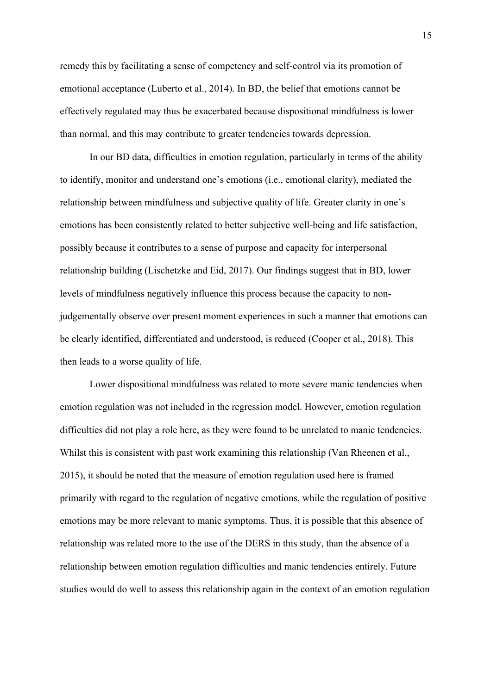remedy this by facilitating a sense of competency and self-control via its promotion of emotional acceptance (Luberto et al., 2014). In BD, the belief that emotions cannot be effectively regulated may thus be exacerbated because dispositional mindfulness is lower than normal, and this may contribute to greater tendencies towards depression.

In our BD data, difficulties in emotion regulation, particularly in terms of the ability to identify, monitor and understand one's emotions (i.e., emotional clarity), mediated the relationship between mindfulness and subjective quality of life. Greater clarity in one's emotions has been consistently related to better subjective well-being and life satisfaction, possibly because it contributes to a sense of purpose and capacity for interpersonal relationship building (Lischetzke and Eid, 2017). Our findings suggest that in BD, lower levels of mindfulness negatively influence this process because the capacity to nonjudgementally observe over present moment experiences in such a manner that emotions can be clearly identified, differentiated and understood, is reduced (Cooper et al., 2018). This then leads to a worse quality of life.

Lower dispositional mindfulness was related to more severe manic tendencies when emotion regulation was not included in the regression model. However, emotion regulation difficulties did not play a role here, as they were found to be unrelated to manic tendencies. Whilst this is consistent with past work examining this relationship (Van Rheenen et al., 2015), it should be noted that the measure of emotion regulation used here is framed primarily with regard to the regulation of negative emotions, while the regulation of positive emotions may be more relevant to manic symptoms. Thus, it is possible that this absence of relationship was related more to the use of the DERS in this study, than the absence of a relationship between emotion regulation difficulties and manic tendencies entirely. Future studies would do well to assess this relationship again in the context of an emotion regulation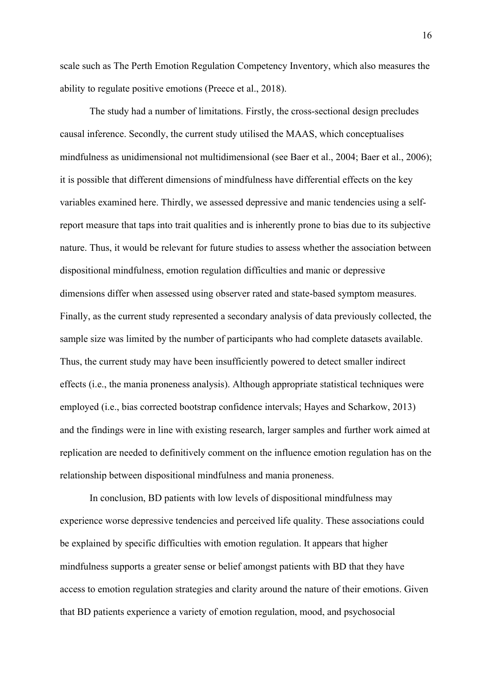scale such as The Perth Emotion Regulation Competency Inventory, which also measures the ability to regulate positive emotions (Preece et al., 2018).

The study had a number of limitations. Firstly, the cross-sectional design precludes causal inference. Secondly, the current study utilised the MAAS, which conceptualises mindfulness as unidimensional not multidimensional (see Baer et al., 2004; Baer et al., 2006); it is possible that different dimensions of mindfulness have differential effects on the key variables examined here. Thirdly, we assessed depressive and manic tendencies using a selfreport measure that taps into trait qualities and is inherently prone to bias due to its subjective nature. Thus, it would be relevant for future studies to assess whether the association between dispositional mindfulness, emotion regulation difficulties and manic or depressive dimensions differ when assessed using observer rated and state-based symptom measures. Finally, as the current study represented a secondary analysis of data previously collected, the sample size was limited by the number of participants who had complete datasets available. Thus, the current study may have been insufficiently powered to detect smaller indirect effects (i.e., the mania proneness analysis). Although appropriate statistical techniques were employed (i.e., bias corrected bootstrap confidence intervals; Hayes and Scharkow, 2013) and the findings were in line with existing research, larger samples and further work aimed at replication are needed to definitively comment on the influence emotion regulation has on the relationship between dispositional mindfulness and mania proneness.

In conclusion, BD patients with low levels of dispositional mindfulness may experience worse depressive tendencies and perceived life quality. These associations could be explained by specific difficulties with emotion regulation. It appears that higher mindfulness supports a greater sense or belief amongst patients with BD that they have access to emotion regulation strategies and clarity around the nature of their emotions. Given that BD patients experience a variety of emotion regulation, mood, and psychosocial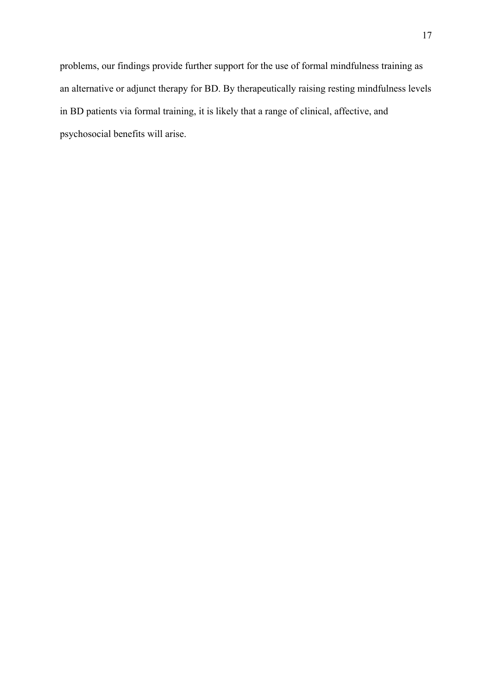problems, our findings provide further support for the use of formal mindfulness training as an alternative or adjunct therapy for BD. By therapeutically raising resting mindfulness levels in BD patients via formal training, it is likely that a range of clinical, affective, and psychosocial benefits will arise.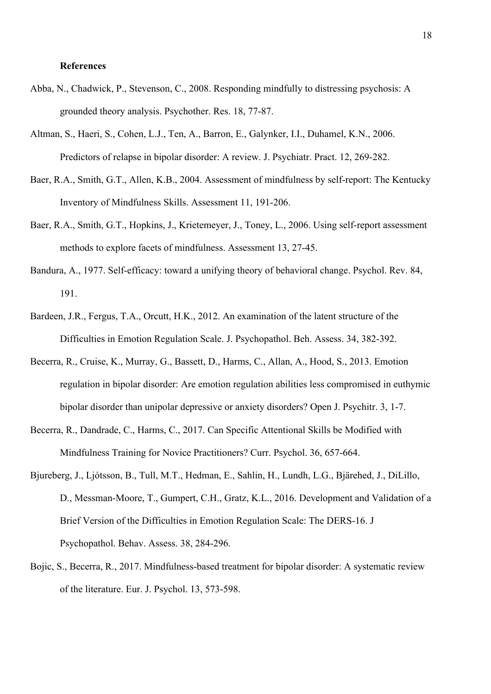### **References**

- Abba, N., Chadwick, P., Stevenson, C., 2008. Responding mindfully to distressing psychosis: A grounded theory analysis. Psychother. Res. 18, 77-87.
- Altman, S., Haeri, S., Cohen, L.J., Ten, A., Barron, E., Galynker, I.I., Duhamel, K.N., 2006. Predictors of relapse in bipolar disorder: A review. J. Psychiatr. Pract. 12, 269-282.
- Baer, R.A., Smith, G.T., Allen, K.B., 2004. Assessment of mindfulness by self-report: The Kentucky Inventory of Mindfulness Skills. Assessment 11, 191-206.
- Baer, R.A., Smith, G.T., Hopkins, J., Krietemeyer, J., Toney, L., 2006. Using self-report assessment methods to explore facets of mindfulness. Assessment 13, 27-45.
- Bandura, A., 1977. Self-efficacy: toward a unifying theory of behavioral change. Psychol. Rev. 84, 191.
- Bardeen, J.R., Fergus, T.A., Orcutt, H.K., 2012. An examination of the latent structure of the Difficulties in Emotion Regulation Scale. J. Psychopathol. Beh. Assess. 34, 382-392.
- Becerra, R., Cruise, K., Murray, G., Bassett, D., Harms, C., Allan, A., Hood, S., 2013. Emotion regulation in bipolar disorder: Are emotion regulation abilities less compromised in euthymic bipolar disorder than unipolar depressive or anxiety disorders? Open J. Psychitr. 3, 1-7.
- Becerra, R., Dandrade, C., Harms, C., 2017. Can Specific Attentional Skills be Modified with Mindfulness Training for Novice Practitioners? Curr. Psychol. 36, 657-664.
- Bjureberg, J., Ljótsson, B., Tull, M.T., Hedman, E., Sahlin, H., Lundh, L.G., Bjärehed, J., DiLillo, D., Messman-Moore, T., Gumpert, C.H., Gratz, K.L., 2016. Development and Validation of a Brief Version of the Difficulties in Emotion Regulation Scale: The DERS-16. J Psychopathol. Behav. Assess. 38, 284-296.
- Bojic, S., Becerra, R., 2017. Mindfulness-based treatment for bipolar disorder: A systematic review of the literature. Eur. J. Psychol. 13, 573-598.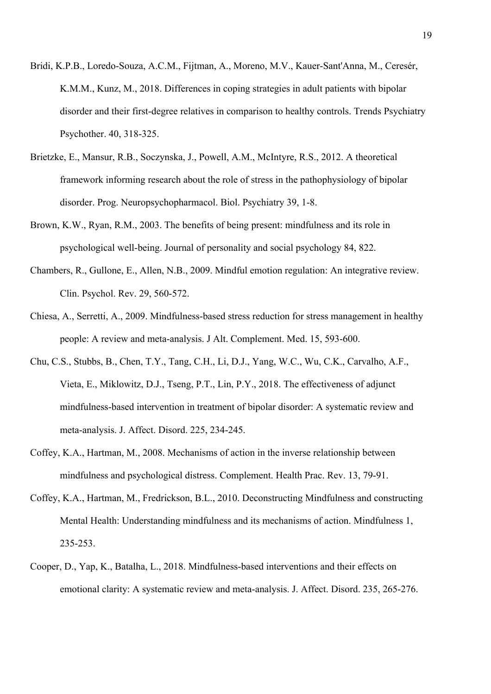- Bridi, K.P.B., Loredo-Souza, A.C.M., Fijtman, A., Moreno, M.V., Kauer-Sant'Anna, M., Ceresér, K.M.M., Kunz, M., 2018. Differences in coping strategies in adult patients with bipolar disorder and their first-degree relatives in comparison to healthy controls. Trends Psychiatry Psychother. 40, 318-325.
- Brietzke, E., Mansur, R.B., Soczynska, J., Powell, A.M., McIntyre, R.S., 2012. A theoretical framework informing research about the role of stress in the pathophysiology of bipolar disorder. Prog. Neuropsychopharmacol. Biol. Psychiatry 39, 1-8.
- Brown, K.W., Ryan, R.M., 2003. The benefits of being present: mindfulness and its role in psychological well-being. Journal of personality and social psychology 84, 822.
- Chambers, R., Gullone, E., Allen, N.B., 2009. Mindful emotion regulation: An integrative review. Clin. Psychol. Rev. 29, 560-572.
- Chiesa, A., Serretti, A., 2009. Mindfulness-based stress reduction for stress management in healthy people: A review and meta-analysis. J Alt. Complement. Med. 15, 593-600.
- Chu, C.S., Stubbs, B., Chen, T.Y., Tang, C.H., Li, D.J., Yang, W.C., Wu, C.K., Carvalho, A.F., Vieta, E., Miklowitz, D.J., Tseng, P.T., Lin, P.Y., 2018. The effectiveness of adjunct mindfulness-based intervention in treatment of bipolar disorder: A systematic review and meta-analysis. J. Affect. Disord. 225, 234-245.
- Coffey, K.A., Hartman, M., 2008. Mechanisms of action in the inverse relationship between mindfulness and psychological distress. Complement. Health Prac. Rev. 13, 79-91.
- Coffey, K.A., Hartman, M., Fredrickson, B.L., 2010. Deconstructing Mindfulness and constructing Mental Health: Understanding mindfulness and its mechanisms of action. Mindfulness 1, 235-253.
- Cooper, D., Yap, K., Batalha, L., 2018. Mindfulness-based interventions and their effects on emotional clarity: A systematic review and meta-analysis. J. Affect. Disord. 235, 265-276.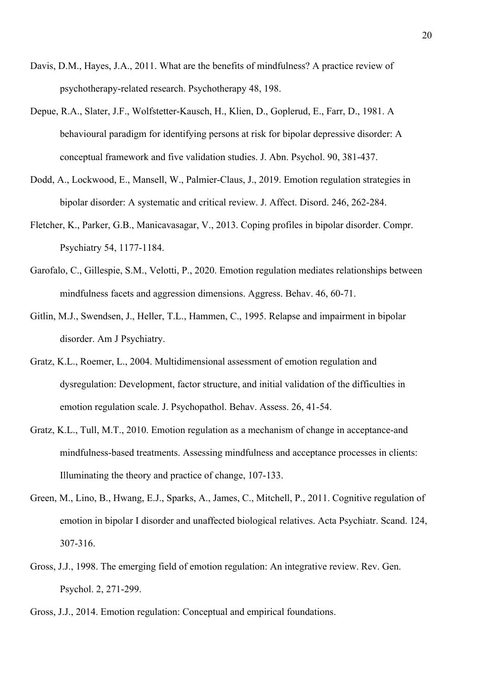- Davis, D.M., Hayes, J.A., 2011. What are the benefits of mindfulness? A practice review of psychotherapy-related research. Psychotherapy 48, 198.
- Depue, R.A., Slater, J.F., Wolfstetter-Kausch, H., Klien, D., Goplerud, E., Farr, D., 1981. A behavioural paradigm for identifying persons at risk for bipolar depressive disorder: A conceptual framework and five validation studies. J. Abn. Psychol. 90, 381-437.
- Dodd, A., Lockwood, E., Mansell, W., Palmier-Claus, J., 2019. Emotion regulation strategies in bipolar disorder: A systematic and critical review. J. Affect. Disord. 246, 262-284.
- Fletcher, K., Parker, G.B., Manicavasagar, V., 2013. Coping profiles in bipolar disorder. Compr. Psychiatry 54, 1177-1184.
- Garofalo, C., Gillespie, S.M., Velotti, P., 2020. Emotion regulation mediates relationships between mindfulness facets and aggression dimensions. Aggress. Behav. 46, 60-71.
- Gitlin, M.J., Swendsen, J., Heller, T.L., Hammen, C., 1995. Relapse and impairment in bipolar disorder. Am J Psychiatry.
- Gratz, K.L., Roemer, L., 2004. Multidimensional assessment of emotion regulation and dysregulation: Development, factor structure, and initial validation of the difficulties in emotion regulation scale. J. Psychopathol. Behav. Assess. 26, 41-54.
- Gratz, K.L., Tull, M.T., 2010. Emotion regulation as a mechanism of change in acceptance-and mindfulness-based treatments. Assessing mindfulness and acceptance processes in clients: Illuminating the theory and practice of change, 107-133.
- Green, M., Lino, B., Hwang, E.J., Sparks, A., James, C., Mitchell, P., 2011. Cognitive regulation of emotion in bipolar I disorder and unaffected biological relatives. Acta Psychiatr. Scand. 124, 307-316.
- Gross, J.J., 1998. The emerging field of emotion regulation: An integrative review. Rev. Gen. Psychol. 2, 271-299.
- Gross, J.J., 2014. Emotion regulation: Conceptual and empirical foundations.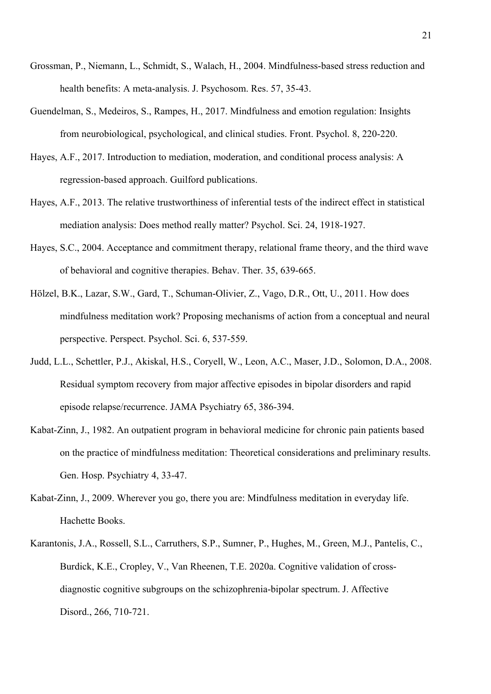- Grossman, P., Niemann, L., Schmidt, S., Walach, H., 2004. Mindfulness-based stress reduction and health benefits: A meta-analysis. J. Psychosom. Res. 57, 35-43.
- Guendelman, S., Medeiros, S., Rampes, H., 2017. Mindfulness and emotion regulation: Insights from neurobiological, psychological, and clinical studies. Front. Psychol. 8, 220-220.
- Hayes, A.F., 2017. Introduction to mediation, moderation, and conditional process analysis: A regression-based approach. Guilford publications.
- Hayes, A.F., 2013. The relative trustworthiness of inferential tests of the indirect effect in statistical mediation analysis: Does method really matter? Psychol. Sci. 24, 1918-1927.
- Hayes, S.C., 2004. Acceptance and commitment therapy, relational frame theory, and the third wave of behavioral and cognitive therapies. Behav. Ther. 35, 639-665.
- Hölzel, B.K., Lazar, S.W., Gard, T., Schuman-Olivier, Z., Vago, D.R., Ott, U., 2011. How does mindfulness meditation work? Proposing mechanisms of action from a conceptual and neural perspective. Perspect. Psychol. Sci. 6, 537-559.
- Judd, L.L., Schettler, P.J., Akiskal, H.S., Coryell, W., Leon, A.C., Maser, J.D., Solomon, D.A., 2008. Residual symptom recovery from major affective episodes in bipolar disorders and rapid episode relapse/recurrence. JAMA Psychiatry 65, 386-394.
- Kabat-Zinn, J., 1982. An outpatient program in behavioral medicine for chronic pain patients based on the practice of mindfulness meditation: Theoretical considerations and preliminary results. Gen. Hosp. Psychiatry 4, 33-47.
- Kabat-Zinn, J., 2009. Wherever you go, there you are: Mindfulness meditation in everyday life. Hachette Books.
- Karantonis, J.A., Rossell, S.L., Carruthers, S.P., Sumner, P., Hughes, M., Green, M.J., Pantelis, C., Burdick, K.E., Cropley, V., Van Rheenen, T.E. 2020a. Cognitive validation of crossdiagnostic cognitive subgroups on the schizophrenia-bipolar spectrum. J. Affective Disord., 266, 710-721.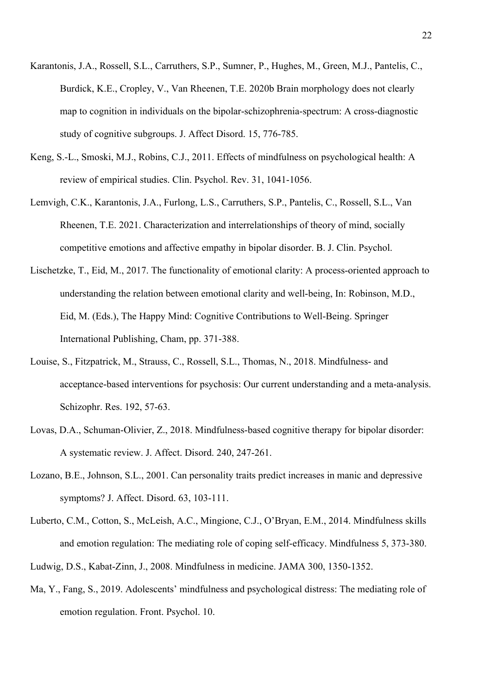- Karantonis, J.A., Rossell, S.L., Carruthers, S.P., Sumner, P., Hughes, M., Green, M.J., Pantelis, C., Burdick, K.E., Cropley, V., Van Rheenen, T.E. 2020b Brain morphology does not clearly map to cognition in individuals on the bipolar-schizophrenia-spectrum: A cross-diagnostic study of cognitive subgroups. J. Affect Disord. 15, 776-785.
- Keng, S.-L., Smoski, M.J., Robins, C.J., 2011. Effects of mindfulness on psychological health: A review of empirical studies. Clin. Psychol. Rev. 31, 1041-1056.
- Lemvigh, C.K., Karantonis, J.A., Furlong, L.S., Carruthers, S.P., Pantelis, C., Rossell, S.L., Van Rheenen, T.E. 2021. Characterization and interrelationships of theory of mind, socially competitive emotions and affective empathy in bipolar disorder. B. J. Clin. Psychol.
- Lischetzke, T., Eid, M., 2017. The functionality of emotional clarity: A process-oriented approach to understanding the relation between emotional clarity and well-being, In: Robinson, M.D., Eid, M. (Eds.), The Happy Mind: Cognitive Contributions to Well-Being. Springer International Publishing, Cham, pp. 371-388.
- Louise, S., Fitzpatrick, M., Strauss, C., Rossell, S.L., Thomas, N., 2018. Mindfulness- and acceptance-based interventions for psychosis: Our current understanding and a meta-analysis. Schizophr. Res. 192, 57-63.
- Lovas, D.A., Schuman-Olivier, Z., 2018. Mindfulness-based cognitive therapy for bipolar disorder: A systematic review. J. Affect. Disord. 240, 247-261.
- Lozano, B.E., Johnson, S.L., 2001. Can personality traits predict increases in manic and depressive symptoms? J. Affect. Disord. 63, 103-111.
- Luberto, C.M., Cotton, S., McLeish, A.C., Mingione, C.J., O'Bryan, E.M., 2014. Mindfulness skills and emotion regulation: The mediating role of coping self-efficacy. Mindfulness 5, 373-380.
- Ludwig, D.S., Kabat-Zinn, J., 2008. Mindfulness in medicine. JAMA 300, 1350-1352.
- Ma, Y., Fang, S., 2019. Adolescents' mindfulness and psychological distress: The mediating role of emotion regulation. Front. Psychol. 10.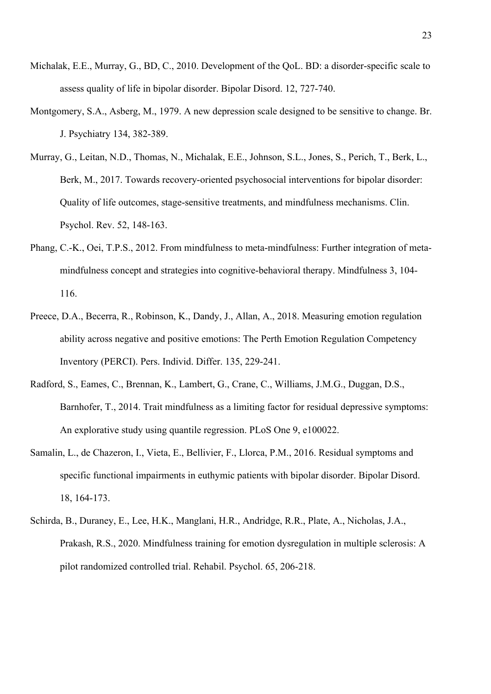- Michalak, E.E., Murray, G., BD, C., 2010. Development of the QoL. BD: a disorder‐specific scale to assess quality of life in bipolar disorder. Bipolar Disord. 12, 727-740.
- Montgomery, S.A., Asberg, M., 1979. A new depression scale designed to be sensitive to change. Br. J. Psychiatry 134, 382-389.
- Murray, G., Leitan, N.D., Thomas, N., Michalak, E.E., Johnson, S.L., Jones, S., Perich, T., Berk, L., Berk, M., 2017. Towards recovery-oriented psychosocial interventions for bipolar disorder: Quality of life outcomes, stage-sensitive treatments, and mindfulness mechanisms. Clin. Psychol. Rev. 52, 148-163.
- Phang, C.-K., Oei, T.P.S., 2012. From mindfulness to meta-mindfulness: Further integration of metamindfulness concept and strategies into cognitive-behavioral therapy. Mindfulness 3, 104- 116.
- Preece, D.A., Becerra, R., Robinson, K., Dandy, J., Allan, A., 2018. Measuring emotion regulation ability across negative and positive emotions: The Perth Emotion Regulation Competency Inventory (PERCI). Pers. Individ. Differ. 135, 229-241.
- Radford, S., Eames, C., Brennan, K., Lambert, G., Crane, C., Williams, J.M.G., Duggan, D.S., Barnhofer, T., 2014. Trait mindfulness as a limiting factor for residual depressive symptoms: An explorative study using quantile regression. PLoS One 9, e100022.
- Samalin, L., de Chazeron, I., Vieta, E., Bellivier, F., Llorca, P.M., 2016. Residual symptoms and specific functional impairments in euthymic patients with bipolar disorder. Bipolar Disord. 18, 164-173.
- Schirda, B., Duraney, E., Lee, H.K., Manglani, H.R., Andridge, R.R., Plate, A., Nicholas, J.A., Prakash, R.S., 2020. Mindfulness training for emotion dysregulation in multiple sclerosis: A pilot randomized controlled trial. Rehabil. Psychol. 65, 206-218.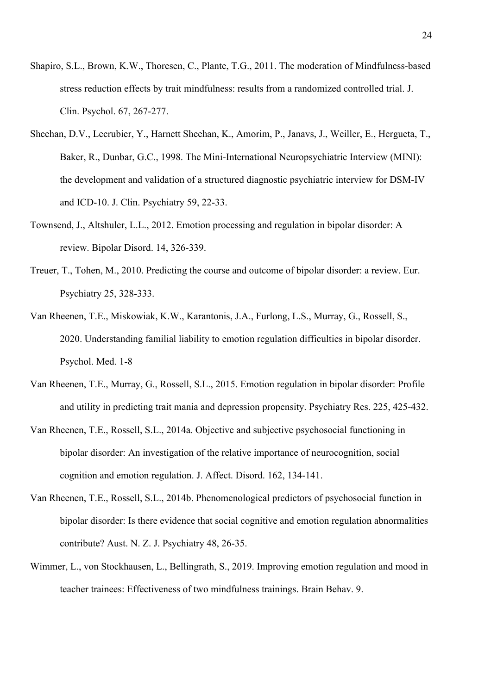- Shapiro, S.L., Brown, K.W., Thoresen, C., Plante, T.G., 2011. The moderation of Mindfulness-based stress reduction effects by trait mindfulness: results from a randomized controlled trial. J. Clin. Psychol. 67, 267-277.
- Sheehan, D.V., Lecrubier, Y., Harnett Sheehan, K., Amorim, P., Janavs, J., Weiller, E., Hergueta, T., Baker, R., Dunbar, G.C., 1998. The Mini-International Neuropsychiatric Interview (MINI): the development and validation of a structured diagnostic psychiatric interview for DSM-IV and ICD-10. J. Clin. Psychiatry 59, 22-33.
- Townsend, J., Altshuler, L.L., 2012. Emotion processing and regulation in bipolar disorder: A review. Bipolar Disord. 14, 326-339.
- Treuer, T., Tohen, M., 2010. Predicting the course and outcome of bipolar disorder: a review. Eur. Psychiatry 25, 328-333.
- Van Rheenen, T.E., Miskowiak, K.W., Karantonis, J.A., Furlong, L.S., Murray, G., Rossell, S., 2020. Understanding familial liability to emotion regulation difficulties in bipolar disorder. Psychol. Med. 1-8
- Van Rheenen, T.E., Murray, G., Rossell, S.L., 2015. Emotion regulation in bipolar disorder: Profile and utility in predicting trait mania and depression propensity. Psychiatry Res. 225, 425-432.
- Van Rheenen, T.E., Rossell, S.L., 2014a. Objective and subjective psychosocial functioning in bipolar disorder: An investigation of the relative importance of neurocognition, social cognition and emotion regulation. J. Affect. Disord. 162, 134-141.
- Van Rheenen, T.E., Rossell, S.L., 2014b. Phenomenological predictors of psychosocial function in bipolar disorder: Is there evidence that social cognitive and emotion regulation abnormalities contribute? Aust. N. Z. J. Psychiatry 48, 26-35.
- Wimmer, L., von Stockhausen, L., Bellingrath, S., 2019. Improving emotion regulation and mood in teacher trainees: Effectiveness of two mindfulness trainings. Brain Behav. 9.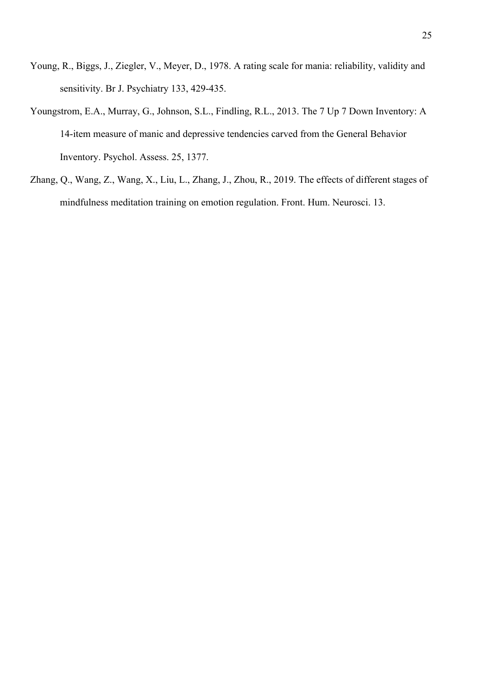- Young, R., Biggs, J., Ziegler, V., Meyer, D., 1978. A rating scale for mania: reliability, validity and sensitivity. Br J. Psychiatry 133, 429-435.
- Youngstrom, E.A., Murray, G., Johnson, S.L., Findling, R.L., 2013. The 7 Up 7 Down Inventory: A 14-item measure of manic and depressive tendencies carved from the General Behavior Inventory. Psychol. Assess. 25, 1377.
- Zhang, Q., Wang, Z., Wang, X., Liu, L., Zhang, J., Zhou, R., 2019. The effects of different stages of mindfulness meditation training on emotion regulation. Front. Hum. Neurosci. 13.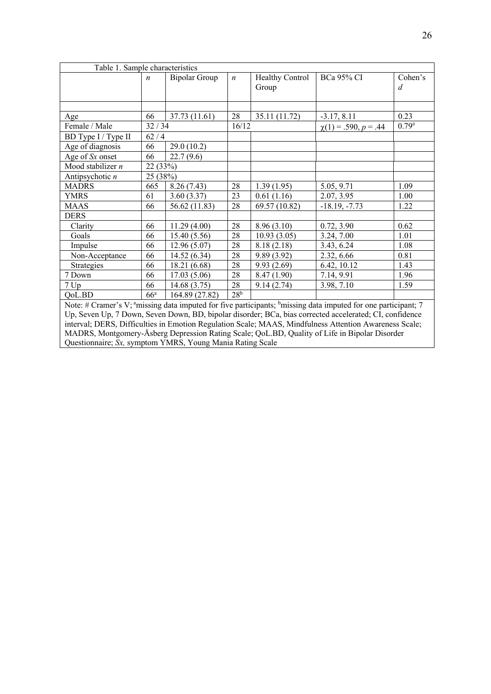| Table 1. Sample characteristics                                                                                                   |                  |                      |                 |                        |                           |                |  |  |  |  |
|-----------------------------------------------------------------------------------------------------------------------------------|------------------|----------------------|-----------------|------------------------|---------------------------|----------------|--|--|--|--|
|                                                                                                                                   | $\boldsymbol{n}$ | <b>Bipolar Group</b> |                 | <b>Healthy Control</b> | <b>BCa 95% CI</b>         | Cohen's        |  |  |  |  |
|                                                                                                                                   |                  |                      |                 | Group                  |                           | $\overline{d}$ |  |  |  |  |
|                                                                                                                                   |                  |                      |                 |                        |                           |                |  |  |  |  |
|                                                                                                                                   |                  |                      |                 |                        |                           |                |  |  |  |  |
| Age                                                                                                                               | 66               | 37.73 (11.61)        | 28              | 35.11 (11.72)          | $-3.17, 8.11$             | 0.23           |  |  |  |  |
| Female / Male                                                                                                                     | 32/34            |                      | 16/12           |                        | $\chi(1) = .590, p = .44$ | $0.79^{#}$     |  |  |  |  |
| BD Type I / Type II                                                                                                               | 62/4             |                      |                 |                        |                           |                |  |  |  |  |
| Age of diagnosis                                                                                                                  | 66               | 29.0(10.2)           |                 |                        |                           |                |  |  |  |  |
| Age of Sx onset                                                                                                                   | 66               | 22.7(9.6)            |                 |                        |                           |                |  |  |  |  |
| Mood stabilizer $n$                                                                                                               | 22 (33%)         |                      |                 |                        |                           |                |  |  |  |  |
| Antipsychotic $n$                                                                                                                 | 25 (38%)         |                      |                 |                        |                           |                |  |  |  |  |
| <b>MADRS</b>                                                                                                                      | 665              | 8.26(7.43)           | 28              | 1.39(1.95)             | 5.05, 9.71                | 1.09           |  |  |  |  |
| <b>YMRS</b>                                                                                                                       | 61               | 3.60(3.37)           | 23              | 0.61(1.16)             | 2.07, 3.95                | 1.00           |  |  |  |  |
| <b>MAAS</b>                                                                                                                       | 66               | 56.62 (11.83)        | 28              | 69.57 (10.82)          | $-18.19, -7.73$           | 1.22           |  |  |  |  |
| <b>DERS</b>                                                                                                                       |                  |                      |                 |                        |                           |                |  |  |  |  |
| Clarity                                                                                                                           | 66               | 11.29(4.00)          | 28              | 8.96(3.10)             | 0.72, 3.90                | 0.62           |  |  |  |  |
| Goals                                                                                                                             | 66               | 15.40(5.56)          | 28              | 10.93(3.05)            | 3.24, 7.00                | 1.01           |  |  |  |  |
| Impulse                                                                                                                           | 66               | 12.96(5.07)          | 28              | 8.18(2.18)             | 3.43, 6.24                | 1.08           |  |  |  |  |
| Non-Acceptance                                                                                                                    | 66               | 14.52 (6.34)         | 28              | 9.89(3.92)             | 2.32, 6.66                | 0.81           |  |  |  |  |
| Strategies                                                                                                                        | 66               | 18.21 (6.68)         | 28              | 9.93(2.69)             | 6.42, 10.12               | 1.43           |  |  |  |  |
| 7 Down                                                                                                                            | 66               | 17.03(5.06)          | 28              | 8.47 (1.90)            | 7.14, 9.91                | 1.96           |  |  |  |  |
| 7 Up                                                                                                                              | 66               | 14.68(3.75)          | 28              | 9.14(2.74)             | 3.98, 7.10                | 1.59           |  |  |  |  |
| QoL.BD                                                                                                                            | $66^{\circ}$     | 164.89 (27.82)       | 28 <sup>b</sup> |                        |                           |                |  |  |  |  |
| Note: # Cramer's V; $\text{``missing data}$ imputed for five participants; $\text{``missing data}$ imputed for one participant; 7 |                  |                      |                 |                        |                           |                |  |  |  |  |
| Up, Seven Up, 7 Down, Seven Down, BD, bipolar disorder; BCa, bias corrected accelerated; CI, confidence                           |                  |                      |                 |                        |                           |                |  |  |  |  |
| interval: DERS, Difficulties in Emotion Requision Scale: MAAS, Mindfulness Attention Awareness Scale:                             |                  |                      |                 |                        |                           |                |  |  |  |  |

interval; DERS, Difficulties in Emotion Regulation Scale; MAAS, Mindfulness Attention Awareness Scale; MADRS, Montgomery-Åsberg Depression Rating Scale; QoL.BD, Quality of Life in Bipolar Disorder Questionnaire; *Sx,* symptom YMRS, Young Mania Rating Scale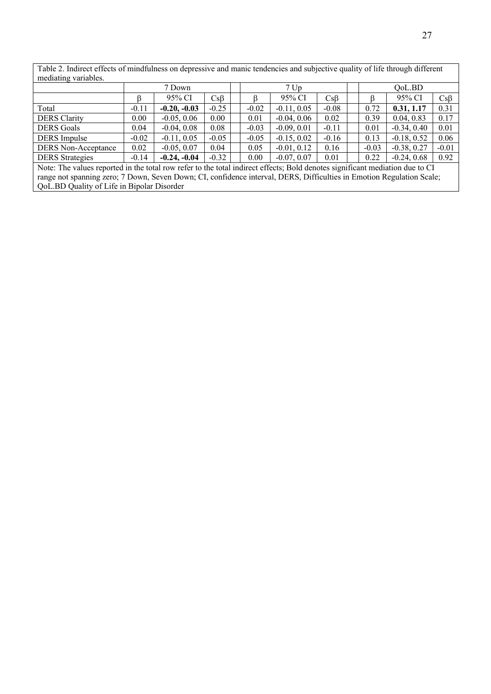Table 2. Indirect effects of mindfulness on depressive and manic tendencies and subjective quality of life through different mediating variables.

|                                                                                                                              | 7 Down  |                |         |  | 7 <sub>Up</sub> |               |           |  | QoL.BD  |               |           |
|------------------------------------------------------------------------------------------------------------------------------|---------|----------------|---------|--|-----------------|---------------|-----------|--|---------|---------------|-----------|
|                                                                                                                              |         | 95% CI         | CsB     |  |                 | 95% CI        | $Cs\beta$ |  |         | 95% CI        | $Cs\beta$ |
| Total                                                                                                                        | $-0.11$ | $-0.20, -0.03$ | $-0.25$ |  | $-0.02$         | $-0.11, 0.05$ | $-0.08$   |  | 0.72    | 0.31, 1.17    | 0.31      |
| <b>DERS</b> Clarity                                                                                                          | 0.00    | $-0.05, 0.06$  | 0.00    |  | 0.01            | $-0.04, 0.06$ | 0.02      |  | 0.39    | 0.04, 0.83    | 0.17      |
| <b>DERS</b> Goals                                                                                                            | 0.04    | $-0.04, 0.08$  | 0.08    |  | $-0.03$         | $-0.09, 0.01$ | $-0.11$   |  | 0.01    | $-0.34, 0.40$ | 0.01      |
| <b>DERS</b> Impulse                                                                                                          | $-0.02$ | $-0.11, 0.05$  | $-0.05$ |  | $-0.05$         | $-0.15, 0.02$ | $-0.16$   |  | 0.13    | $-0.18, 0.52$ | 0.06      |
| <b>DERS</b> Non-Acceptance                                                                                                   | 0.02    | $-0.05, 0.07$  | 0.04    |  | 0.05            | $-0.01, 0.12$ | 0.16      |  | $-0.03$ | $-0.38, 0.27$ | $-0.01$   |
| <b>DERS</b> Strategies                                                                                                       | $-0.14$ | $-0.24, -0.04$ | $-0.32$ |  | 0.00            | $-0.07, 0.07$ | 0.01      |  | 0.22    | $-0.24, 0.68$ | 0.92      |
| Note: The values reported in the total row refer to the total indirect effects; Bold denotes significant mediation due to CI |         |                |         |  |                 |               |           |  |         |               |           |
| range not spanning zero; 7 Down, Seven Down; CI, confidence interval, DERS, Difficulties in Emotion Regulation Scale;        |         |                |         |  |                 |               |           |  |         |               |           |
| QoL.BD Quality of Life in Bipolar Disorder                                                                                   |         |                |         |  |                 |               |           |  |         |               |           |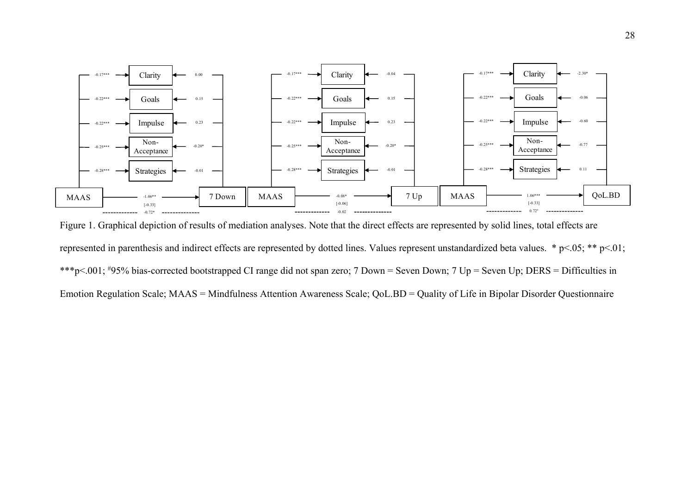

Figure 1. Graphical depiction of results of mediation analyses. Note that the direct effects are represented by solid lines, total effects are represented in parenthesis and indirect effects are represented by dotted lines. Values represent unstandardized beta values. \* p<.05; \*\* p<.01; \*\*\*p<.001; # 95% bias-corrected bootstrapped CI range did not span zero; 7 Down = Seven Down; 7 Up = Seven Up; DERS = Difficulties in Emotion Regulation Scale; MAAS = Mindfulness Attention Awareness Scale; QoL.BD = Quality of Life in Bipolar Disorder Questionnaire